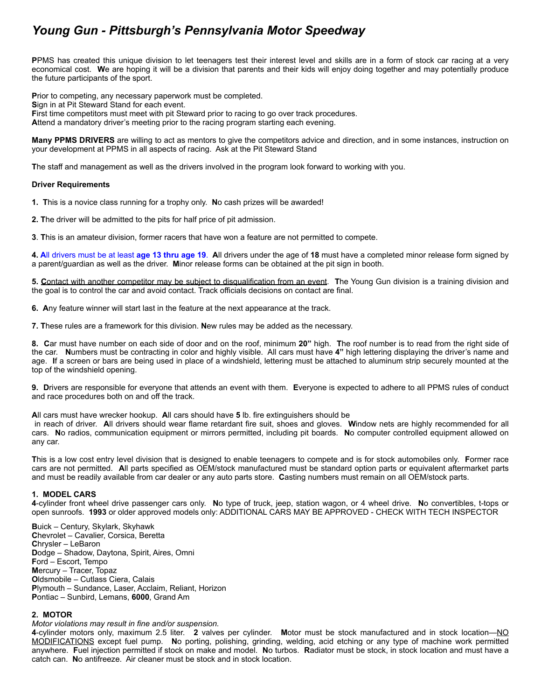# *Young Gun - Pittsburgh's Pennsylvania Motor Speedway*

**P**PMS has created this unique division to let teenagers test their interest level and skills are in a form of stock car racing at a very economical cost. **W**e are hoping it will be a division that parents and their kids will enjoy doing together and may potentially produce the future participants of the sport.

**P**rior to competing, any necessary paperwork must be completed. **S**ign in at Pit Steward Stand for each event. **F**irst time competitors must meet with pit Steward prior to racing to go over track procedures. **A**ttend a mandatory driver's meeting prior to the racing program starting each evening.

**Many PPMS DRIVERS** are willing to act as mentors to give the competitors advice and direction, and in some instances, instruction on your development at PPMS in all aspects of racing. Ask at the Pit Steward Stand

**T**he staff and management as well as the drivers involved in the program look forward to working with you.

#### **Driver Requirements**

**1. T**his is a novice class running for a trophy only. **N**o cash prizes will be awarded!

**2. T**he driver will be admitted to the pits for half price of pit admission.

**3**. **T**his is an amateur division, former racers that have won a feature are not permitted to compete.

**4. A**ll drivers must be at least **age 13 thru age 19**. **A**ll drivers under the age of **18** must have a completed minor release form signed by a parent/guardian as well as the driver. **M**inor release forms can be obtained at the pit sign in booth.

**5. C**ontact with another competitor may be subject to disqualification from an event. **T**he Young Gun division is a training division and the goal is to control the car and avoid contact. Track officials decisions on contact are final.

**6. A**ny feature winner will start last in the feature at the next appearance at the track.

**7. T**hese rules are a framework for this division. **N**ew rules may be added as the necessary.

**8. C**ar must have number on each side of door and on the roof, minimum **20"** high. **T**he roof number is to read from the right side of the car. **N**umbers must be contracting in color and highly visible. All cars must have **4"** high lettering displaying the driver's name and age. **I**f a screen or bars are being used in place of a windshield, lettering must be attached to aluminum strip securely mounted at the top of the windshield opening.

**9. D**rivers are responsible for everyone that attends an event with them. **E**veryone is expected to adhere to all PPMS rules of conduct and race procedures both on and off the track.

#### **A**ll cars must have wrecker hookup. **A**ll cars should have **5** lb. fire extinguishers should be

 in reach of driver. **A**ll drivers should wear flame retardant fire suit, shoes and gloves. **W**indow nets are highly recommended for all cars. **N**o radios, communication equipment or mirrors permitted, including pit boards. **N**o computer controlled equipment allowed on any car.

**T**his is a low cost entry level division that is designed to enable teenagers to compete and is for stock automobiles only. **F**ormer race cars are not permitted. **A**ll parts specified as OEM/stock manufactured must be standard option parts or equivalent aftermarket parts and must be readily available from car dealer or any auto parts store. **C**asting numbers must remain on all OEM/stock parts.

## **1. MODEL CARS**

**4**-cylinder front wheel drive passenger cars only. **N**o type of truck, jeep, station wagon, or 4 wheel drive. **N**o convertibles, t-tops or open sunroofs. **1993** or older approved models only: ADDITIONAL CARS MAY BE APPROVED - CHECK WITH TECH INSPECTOR

**B**uick – Century, Skylark, Skyhawk **C**hevrolet – Cavalier, Corsica, Beretta **C**hrysler – LeBaron **D**odge – Shadow, Daytona, Spirit, Aires, Omni **F**ord – Escort, Tempo **M**ercury – Tracer, Topaz **O**ldsmobile – Cutlass Ciera, Calais **P**lymouth – Sundance, Laser, Acclaim, Reliant, Horizon **P**ontiac – Sunbird, Lemans, **6000**, Grand Am

## **2. MOTOR**

*Motor violations may result in fine and/or suspension.*

**4**-cylinder motors only, maximum 2.5 liter. **2** valves per cylinder. **M**otor must be stock manufactured and in stock location—NO MODIFICATIONS except fuel pump. **N**o porting, polishing, grinding, welding, acid etching or any type of machine work permitted anywhere. **F**uel injection permitted if stock on make and model. **N**o turbos. **R**adiator must be stock, in stock location and must have a catch can. **N**o antifreeze. Air cleaner must be stock and in stock location.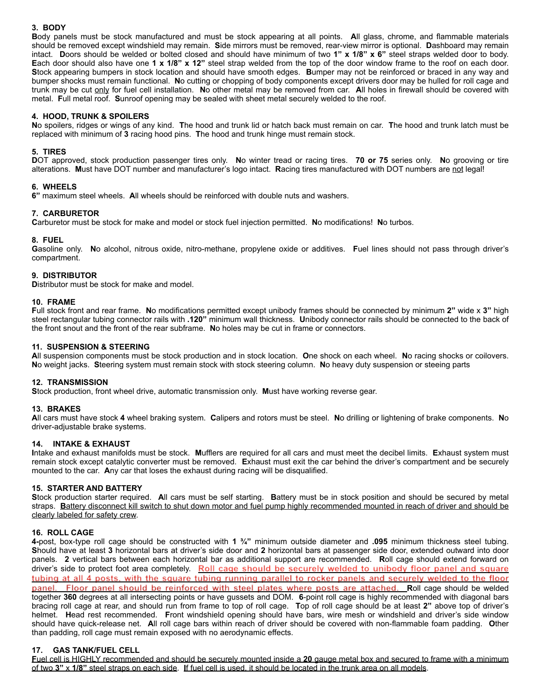# **3. BODY**

**B**ody panels must be stock manufactured and must be stock appearing at all points. **A**ll glass, chrome, and flammable materials should be removed except windshield may remain. **S**ide mirrors must be removed, rear-view mirror is optional. **D**ashboard may remain intact. **D**oors should be welded or bolted closed and should have minimum of two **1" x 1/8" x 6"** steel straps welded door to body. **E**ach door should also have one **1 x 1/8" x 12"** steel strap welded from the top of the door window frame to the roof on each door. **S**tock appearing bumpers in stock location and should have smooth edges. **B**umper may not be reinforced or braced in any way and bumper shocks must remain functional. **N**o cutting or chopping of body components except drivers door may be hulled for roll cage and trunk may be cut only for fuel cell installation. **N**o other metal may be removed from car. **A**ll holes in firewall should be covered with metal. **F**ull metal roof. **S**unroof opening may be sealed with sheet metal securely welded to the roof.

### **4. HOOD, TRUNK & SPOILERS**

**N**o spoilers, ridges or wings of any kind. **T**he hood and trunk lid or hatch back must remain on car. **T**he hood and trunk latch must be replaced with minimum of **3** racing hood pins. **T**he hood and trunk hinge must remain stock.

#### **5. TIRES**

**D**OT approved, stock production passenger tires only. **N**o winter tread or racing tires. **70 or 75** series only. **N**o grooving or tire alterations. **M**ust have DOT number and manufacturer's logo intact. **R**acing tires manufactured with DOT numbers are not legal!

#### **6. WHEELS**

**6"** maximum steel wheels. **A**ll wheels should be reinforced with double nuts and washers.

## **7. CARBURETOR**

**C**arburetor must be stock for make and model or stock fuel injection permitted. **N**o modifications! **N**o turbos.

#### **8. FUEL**

**G**asoline only. **N**o alcohol, nitrous oxide, nitro-methane, propylene oxide or additives. **F**uel lines should not pass through driver's compartment.

#### **9. DISTRIBUTOR**

**D**istributor must be stock for make and model.

#### **10. FRAME**

**F**ull stock front and rear frame. **N**o modifications permitted except unibody frames should be connected by minimum **2"** wide x **3"** high steel rectangular tubing connector rails with **.120"** minimum wall thickness. **U**nibody connector rails should be connected to the back of the front snout and the front of the rear subframe. **N**o holes may be cut in frame or connectors.

## **11. SUSPENSION & STEERING**

**A**ll suspension components must be stock production and in stock location. **O**ne shock on each wheel. **N**o racing shocks or coilovers. **N**o weight jacks. **S**teering system must remain stock with stock steering column. **N**o heavy duty suspension or steeing parts

## **12. TRANSMISSION**

**S**tock production, front wheel drive, automatic transmission only. **M**ust have working reverse gear.

## **13. BRAKES**

**A**ll cars must have stock **4** wheel braking system. **C**alipers and rotors must be steel. **N**o drilling or lightening of brake components. **N**o driver-adjustable brake systems.

## **14. INTAKE & EXHAUST**

**I**ntake and exhaust manifolds must be stock. **M**ufflers are required for all cars and must meet the decibel limits. **E**xhaust system must remain stock except catalytic converter must be removed. **E**xhaust must exit the car behind the driver's compartment and be securely mounted to the car. **A**ny car that loses the exhaust during racing will be disqualified.

#### **15. STARTER AND BATTERY**

**S**tock production starter required. **A**ll cars must be self starting. **B**attery must be in stock position and should be secured by metal straps. **B**attery disconnect kill switch to shut down motor and fuel pump highly recommended mounted in reach of driver and should be clearly labeled for safety crew.

# **16. ROLL CAGE**

**4-**post, box-type roll cage should be constructed with **1 ¾"** minimum outside diameter and **.095** minimum thickness steel tubing. **S**hould have at least **3** horizontal bars at driver's side door and **2** horizontal bars at passenger side door, extended outward into door panels. **2** vertical bars between each horizontal bar as additional support are recommended. **R**oll cage should extend forward on driver's side to protect foot area completely. **Roll cage should be securely welded to unibody floor panel and square tubing at all 4 posts, with the square tubing running parallel to rocker panels and securely welded to the floor panel. Floor panel should be reinforced with steel plates where posts are attached. R**oll cage should be welded together **360** degrees at all intersecting points or have gussets and DOM. **6**-point roll cage is highly recommended with diagonal bars bracing roll cage at rear, and should run from frame to top of roll cage. **T**op of roll cage should be at least **2"** above top of driver's helmet. **H**ead rest recommended. **F**ront windshield opening should have bars, wire mesh or windshield and driver's side window should have quick-release net. **A**ll roll cage bars within reach of driver should be covered with non-flammable foam padding. **O**ther than padding, roll cage must remain exposed with no aerodynamic effects.

## **17. GAS TANK/FUEL CELL**

**F**uel cell is HIGHLY recommended and should be securely mounted inside a **20** gauge metal box and secured to frame with a minimum of two **3"** x **1/8"** steel straps on each side. **I**f fuel cell is used, it should be located in the trunk area on all models.